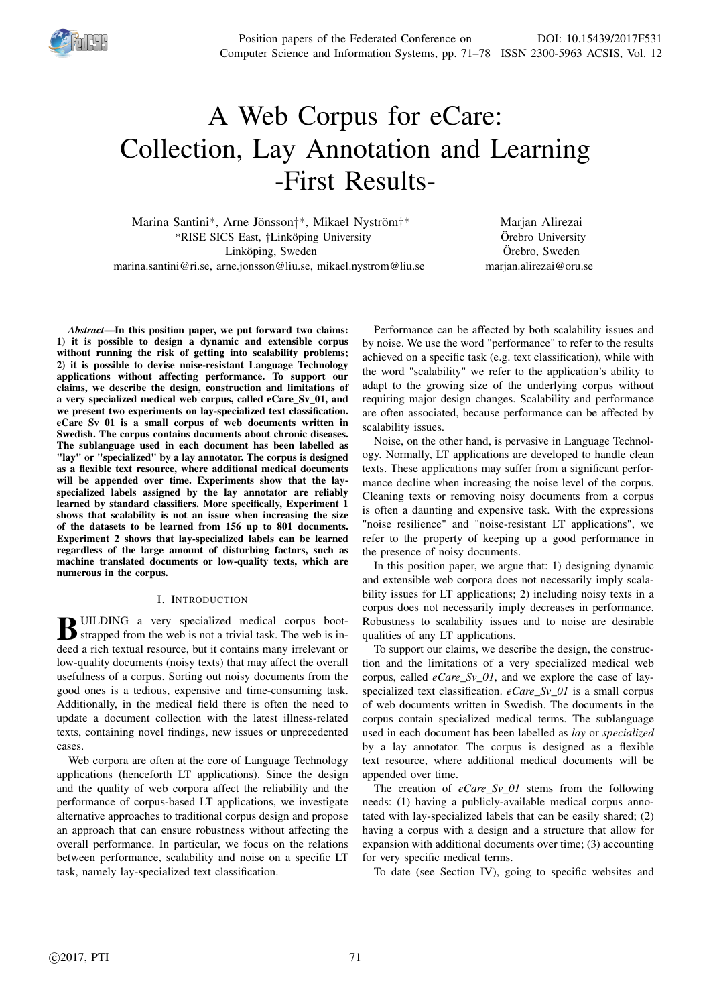

# A Web Corpus for eCare: Collection, Lay Annotation and Learning -First Results-

Marina Santini\*, Arne Jönsson†\*, Mikael Nyström†\* \*RISE SICS East, †Linköping University Linköping, Sweden marina.santini@ri.se, arne.jonsson@liu.se, mikael.nystrom@liu.se

Marjan Alirezai Örebro University Örebro, Sweden marjan.alirezai@oru.se

*Abstract*—In this position paper, we put forward two claims: 1) it is possible to design a dynamic and extensible corpus without running the risk of getting into scalability problems; 2) it is possible to devise noise-resistant Language Technology applications without affecting performance. To support our claims, we describe the design, construction and limitations of a very specialized medical web corpus, called eCare\_Sv\_01, and we present two experiments on lay-specialized text classification. eCare\_Sv\_01 is a small corpus of web documents written in Swedish. The corpus contains documents about chronic diseases. The sublanguage used in each document has been labelled as "lay" or "specialized" by a lay annotator. The corpus is designed as a flexible text resource, where additional medical documents will be appended over time. Experiments show that the layspecialized labels assigned by the lay annotator are reliably learned by standard classifiers. More specifically, Experiment 1 shows that scalability is not an issue when increasing the size of the datasets to be learned from 156 up to 801 documents. Experiment 2 shows that lay-specialized labels can be learned regardless of the large amount of disturbing factors, such as machine translated documents or low-quality texts, which are numerous in the corpus.

# I. INTRODUCTION

**B** UILDING a very specialized medical corpus boot-<br>strapped from the web is not a trivial task. The web is in-UILDING a very specialized medical corpus bootdeed a rich textual resource, but it contains many irrelevant or low-quality documents (noisy texts) that may affect the overall usefulness of a corpus. Sorting out noisy documents from the good ones is a tedious, expensive and time-consuming task. Additionally, in the medical field there is often the need to update a document collection with the latest illness-related texts, containing novel findings, new issues or unprecedented cases.

Web corpora are often at the core of Language Technology applications (henceforth LT applications). Since the design and the quality of web corpora affect the reliability and the performance of corpus-based LT applications, we investigate alternative approaches to traditional corpus design and propose an approach that can ensure robustness without affecting the overall performance. In particular, we focus on the relations between performance, scalability and noise on a specific LT task, namely lay-specialized text classification.

Performance can be affected by both scalability issues and by noise. We use the word "performance" to refer to the results achieved on a specific task (e.g. text classification), while with the word "scalability" we refer to the application's ability to adapt to the growing size of the underlying corpus without requiring major design changes. Scalability and performance are often associated, because performance can be affected by scalability issues.

Noise, on the other hand, is pervasive in Language Technology. Normally, LT applications are developed to handle clean texts. These applications may suffer from a significant performance decline when increasing the noise level of the corpus. Cleaning texts or removing noisy documents from a corpus is often a daunting and expensive task. With the expressions "noise resilience" and "noise-resistant LT applications", we refer to the property of keeping up a good performance in the presence of noisy documents.

In this position paper, we argue that: 1) designing dynamic and extensible web corpora does not necessarily imply scalability issues for LT applications; 2) including noisy texts in a corpus does not necessarily imply decreases in performance. Robustness to scalability issues and to noise are desirable qualities of any LT applications.

To support our claims, we describe the design, the construction and the limitations of a very specialized medical web corpus, called *eCare\_Sv\_01*, and we explore the case of layspecialized text classification. *eCare\_Sv\_01* is a small corpus of web documents written in Swedish. The documents in the corpus contain specialized medical terms. The sublanguage used in each document has been labelled as *lay* or *specialized* by a lay annotator. The corpus is designed as a flexible text resource, where additional medical documents will be appended over time.

The creation of *eCare Sv 01* stems from the following needs: (1) having a publicly-available medical corpus annotated with lay-specialized labels that can be easily shared; (2) having a corpus with a design and a structure that allow for expansion with additional documents over time; (3) accounting for very specific medical terms.

To date (see Section IV), going to specific websites and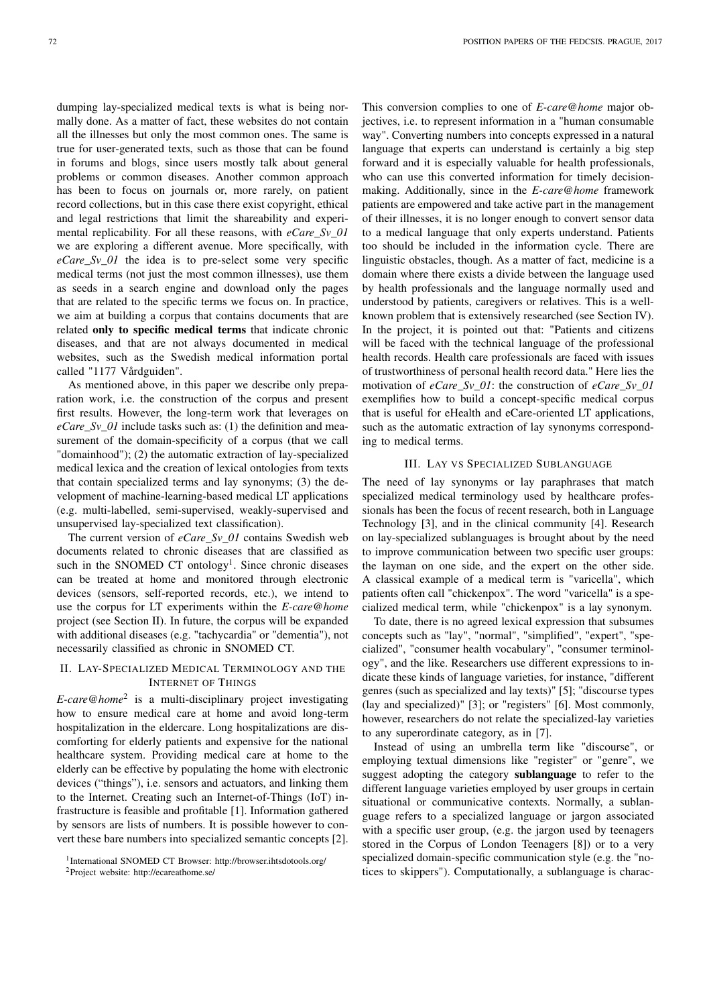dumping lay-specialized medical texts is what is being normally done. As a matter of fact, these websites do not contain all the illnesses but only the most common ones. The same is true for user-generated texts, such as those that can be found in forums and blogs, since users mostly talk about general problems or common diseases. Another common approach has been to focus on journals or, more rarely, on patient record collections, but in this case there exist copyright, ethical and legal restrictions that limit the shareability and experimental replicability. For all these reasons, with *eCare\_Sv\_01* we are exploring a different avenue. More specifically, with *eCare\_Sv\_01* the idea is to pre-select some very specific medical terms (not just the most common illnesses), use them as seeds in a search engine and download only the pages that are related to the specific terms we focus on. In practice, we aim at building a corpus that contains documents that are related only to specific medical terms that indicate chronic diseases, and that are not always documented in medical websites, such as the Swedish medical information portal called "1177 Vårdguiden".

As mentioned above, in this paper we describe only preparation work, i.e. the construction of the corpus and present first results. However, the long-term work that leverages on *eCare\_Sv\_01* include tasks such as: (1) the definition and measurement of the domain-specificity of a corpus (that we call "domainhood"); (2) the automatic extraction of lay-specialized medical lexica and the creation of lexical ontologies from texts that contain specialized terms and lay synonyms; (3) the development of machine-learning-based medical LT applications (e.g. multi-labelled, semi-supervised, weakly-supervised and unsupervised lay-specialized text classification).

The current version of *eCare\_Sv\_01* contains Swedish web documents related to chronic diseases that are classified as such in the SNOMED CT ontology<sup>1</sup>. Since chronic diseases can be treated at home and monitored through electronic devices (sensors, self-reported records, etc.), we intend to use the corpus for LT experiments within the *E-care@home* project (see Section II). In future, the corpus will be expanded with additional diseases (e.g. "tachycardia" or "dementia"), not necessarily classified as chronic in SNOMED CT.

# II. LAY-SPECIALIZED MEDICAL TERMINOLOGY AND THE INTERNET OF THINGS

*E-care@home*<sup>2</sup> is a multi-disciplinary project investigating how to ensure medical care at home and avoid long-term hospitalization in the eldercare. Long hospitalizations are discomforting for elderly patients and expensive for the national healthcare system. Providing medical care at home to the elderly can be effective by populating the home with electronic devices ("things"), i.e. sensors and actuators, and linking them to the Internet. Creating such an Internet-of-Things (IoT) infrastructure is feasible and profitable [1]. Information gathered by sensors are lists of numbers. It is possible however to convert these bare numbers into specialized semantic concepts [2].

<sup>2</sup>Project website: http://ecareathome.se/

This conversion complies to one of *E-care@home* major objectives, i.e. to represent information in a "human consumable way". Converting numbers into concepts expressed in a natural language that experts can understand is certainly a big step forward and it is especially valuable for health professionals, who can use this converted information for timely decisionmaking. Additionally, since in the *E-care@home* framework patients are empowered and take active part in the management of their illnesses, it is no longer enough to convert sensor data to a medical language that only experts understand. Patients too should be included in the information cycle. There are linguistic obstacles, though. As a matter of fact, medicine is a domain where there exists a divide between the language used by health professionals and the language normally used and understood by patients, caregivers or relatives. This is a wellknown problem that is extensively researched (see Section IV). In the project, it is pointed out that: "Patients and citizens will be faced with the technical language of the professional health records. Health care professionals are faced with issues of trustworthiness of personal health record data." Here lies the motivation of *eCare\_Sv\_01*: the construction of *eCare\_Sv\_01* exemplifies how to build a concept-specific medical corpus that is useful for eHealth and eCare-oriented LT applications, such as the automatic extraction of lay synonyms corresponding to medical terms.

# III. LAY VS SPECIALIZED SUBLANGUAGE

The need of lay synonyms or lay paraphrases that match specialized medical terminology used by healthcare professionals has been the focus of recent research, both in Language Technology [3], and in the clinical community [4]. Research on lay-specialized sublanguages is brought about by the need to improve communication between two specific user groups: the layman on one side, and the expert on the other side. A classical example of a medical term is "varicella", which patients often call "chickenpox". The word "varicella" is a specialized medical term, while "chickenpox" is a lay synonym.

To date, there is no agreed lexical expression that subsumes concepts such as "lay", "normal", "simplified", "expert", "specialized", "consumer health vocabulary", "consumer terminology", and the like. Researchers use different expressions to indicate these kinds of language varieties, for instance, "different genres (such as specialized and lay texts)" [5]; "discourse types (lay and specialized)" [3]; or "registers" [6]. Most commonly, however, researchers do not relate the specialized-lay varieties to any superordinate category, as in [7].

Instead of using an umbrella term like "discourse", or employing textual dimensions like "register" or "genre", we suggest adopting the category sublanguage to refer to the different language varieties employed by user groups in certain situational or communicative contexts. Normally, a sublanguage refers to a specialized language or jargon associated with a specific user group, (e.g. the jargon used by teenagers stored in the Corpus of London Teenagers [8]) or to a very specialized domain-specific communication style (e.g. the "notices to skippers"). Computationally, a sublanguage is charac-

<sup>&</sup>lt;sup>1</sup>International SNOMED CT Browser: http://browser.ihtsdotools.org/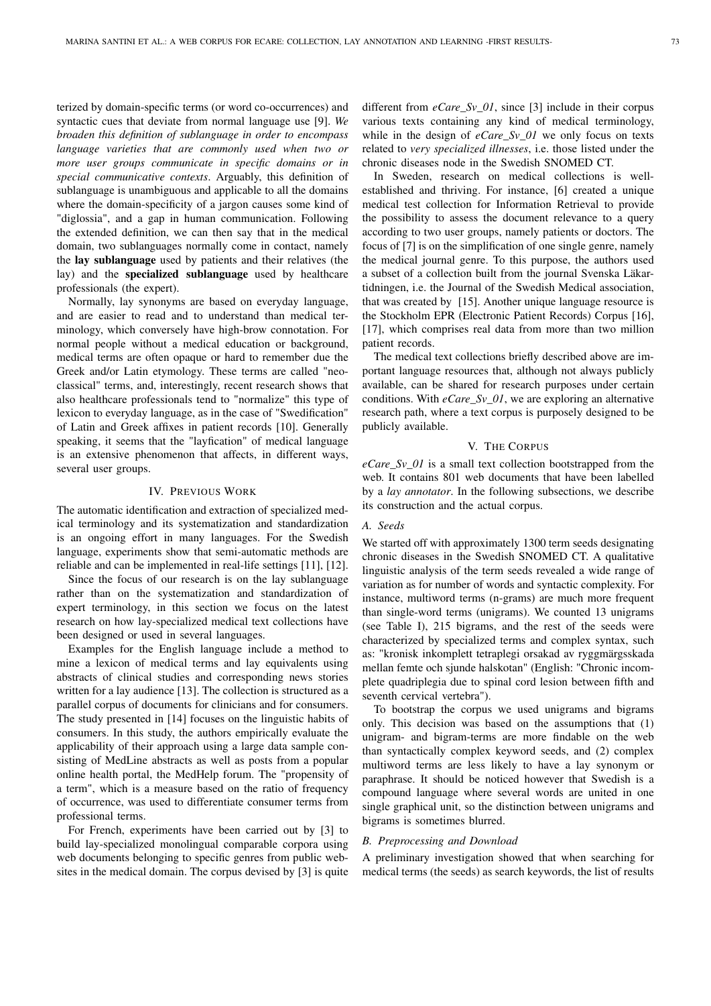terized by domain-specific terms (or word co-occurrences) and syntactic cues that deviate from normal language use [9]. *We broaden this definition of sublanguage in order to encompass language varieties that are commonly used when two or more user groups communicate in specific domains or in special communicative contexts*. Arguably, this definition of sublanguage is unambiguous and applicable to all the domains where the domain-specificity of a jargon causes some kind of "diglossia", and a gap in human communication. Following the extended definition, we can then say that in the medical domain, two sublanguages normally come in contact, namely the lay sublanguage used by patients and their relatives (the lay) and the specialized sublanguage used by healthcare professionals (the expert).

Normally, lay synonyms are based on everyday language, and are easier to read and to understand than medical terminology, which conversely have high-brow connotation. For normal people without a medical education or background, medical terms are often opaque or hard to remember due the Greek and/or Latin etymology. These terms are called "neoclassical" terms, and, interestingly, recent research shows that also healthcare professionals tend to "normalize" this type of lexicon to everyday language, as in the case of "Swedification" of Latin and Greek affixes in patient records [10]. Generally speaking, it seems that the "layfication" of medical language is an extensive phenomenon that affects, in different ways, several user groups.

#### IV. PREVIOUS WORK

The automatic identification and extraction of specialized medical terminology and its systematization and standardization is an ongoing effort in many languages. For the Swedish language, experiments show that semi-automatic methods are reliable and can be implemented in real-life settings [11], [12].

Since the focus of our research is on the lay sublanguage rather than on the systematization and standardization of expert terminology, in this section we focus on the latest research on how lay-specialized medical text collections have been designed or used in several languages.

Examples for the English language include a method to mine a lexicon of medical terms and lay equivalents using abstracts of clinical studies and corresponding news stories written for a lay audience [13]. The collection is structured as a parallel corpus of documents for clinicians and for consumers. The study presented in [14] focuses on the linguistic habits of consumers. In this study, the authors empirically evaluate the applicability of their approach using a large data sample consisting of MedLine abstracts as well as posts from a popular online health portal, the MedHelp forum. The "propensity of a term", which is a measure based on the ratio of frequency of occurrence, was used to differentiate consumer terms from professional terms.

For French, experiments have been carried out by [3] to build lay-specialized monolingual comparable corpora using web documents belonging to specific genres from public websites in the medical domain. The corpus devised by [3] is quite

different from *eCare\_Sv\_01*, since [3] include in their corpus various texts containing any kind of medical terminology, while in the design of *eCare\_Sv\_01* we only focus on texts related to *very specialized illnesses*, i.e. those listed under the chronic diseases node in the Swedish SNOMED CT.

In Sweden, research on medical collections is wellestablished and thriving. For instance, [6] created a unique medical test collection for Information Retrieval to provide the possibility to assess the document relevance to a query according to two user groups, namely patients or doctors. The focus of [7] is on the simplification of one single genre, namely the medical journal genre. To this purpose, the authors used a subset of a collection built from the journal Svenska Läkartidningen, i.e. the Journal of the Swedish Medical association, that was created by [15]. Another unique language resource is the Stockholm EPR (Electronic Patient Records) Corpus [16], [17], which comprises real data from more than two million patient records.

The medical text collections briefly described above are important language resources that, although not always publicly available, can be shared for research purposes under certain conditions. With *eCare\_Sv\_01*, we are exploring an alternative research path, where a text corpus is purposely designed to be publicly available.

#### V. THE CORPUS

*eCare\_Sv\_01* is a small text collection bootstrapped from the web. It contains 801 web documents that have been labelled by a *lay annotator*. In the following subsections, we describe its construction and the actual corpus.

## *A. Seeds*

We started off with approximately 1300 term seeds designating chronic diseases in the Swedish SNOMED CT. A qualitative linguistic analysis of the term seeds revealed a wide range of variation as for number of words and syntactic complexity. For instance, multiword terms (n-grams) are much more frequent than single-word terms (unigrams). We counted 13 unigrams (see Table I), 215 bigrams, and the rest of the seeds were characterized by specialized terms and complex syntax, such as: "kronisk inkomplett tetraplegi orsakad av ryggmärgsskada mellan femte och sjunde halskotan" (English: "Chronic incomplete quadriplegia due to spinal cord lesion between fifth and seventh cervical vertebra").

To bootstrap the corpus we used unigrams and bigrams only. This decision was based on the assumptions that (1) unigram- and bigram-terms are more findable on the web than syntactically complex keyword seeds, and (2) complex multiword terms are less likely to have a lay synonym or paraphrase. It should be noticed however that Swedish is a compound language where several words are united in one single graphical unit, so the distinction between unigrams and bigrams is sometimes blurred.

## *B. Preprocessing and Download*

A preliminary investigation showed that when searching for medical terms (the seeds) as search keywords, the list of results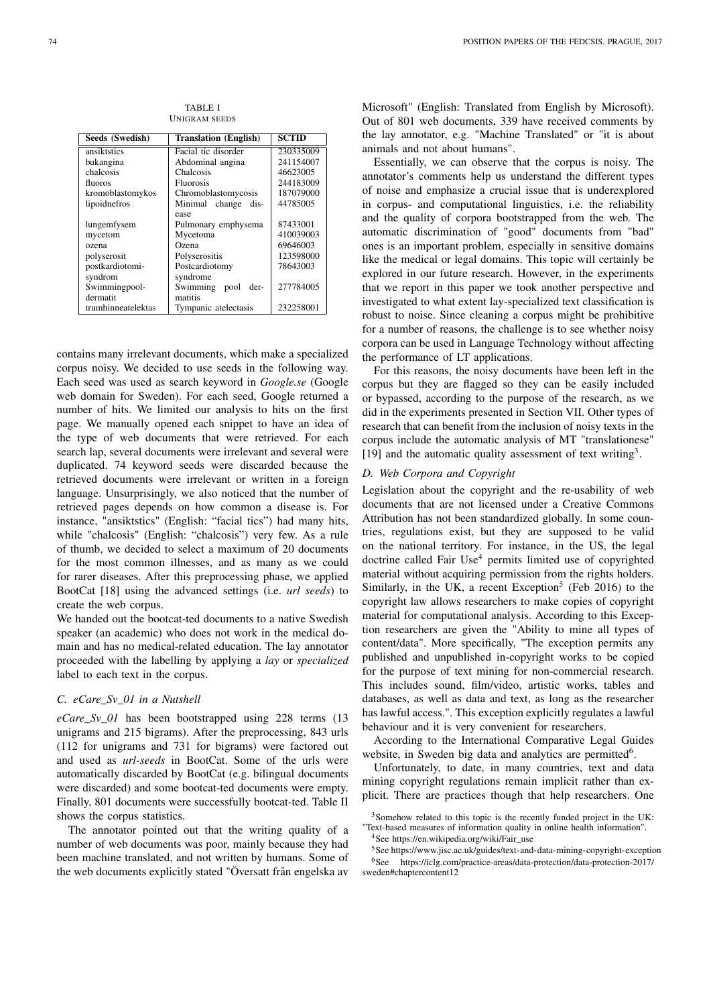| Seeds (Swedish)    | <b>Translation</b> (English) | <b>SCTID</b> |
|--------------------|------------------------------|--------------|
| ansiktstics        | Facial tic disorder          | 230335009    |
| bukangina          | Abdominal angina             | 241154007    |
| chalcosis          | Chalcosis                    | 46623005     |
| fluoros            | <b>Fluorosis</b>             | 244183009    |
| kromoblastomykos   | Chromoblastomycosis          | 187079000    |
| lipoidnefros       | Minimal change<br>dis-       | 44785005     |
|                    | ease                         |              |
| lungemfysem        | Pulmonary emphysema          | 87433001     |
| mycetom            | Mycetoma                     | 410039003    |
| ozena              | Ozena                        | 69646003     |
| polyserosit        | Polyserositis                | 123598000    |
| postkardiotomi-    | Postcardiotomy               | 78643003     |
| syndrom            | syndrome                     |              |
| Swimmingpool-      | Swimming<br>der-<br>pool     | 277784005    |
| dermatit           | matitis                      |              |
| trumhinneatelektas | Tympanic atelectasis         | 232258001    |

TABLE I UNIGRAM SEEDS

contains many irrelevant documents, which make a specialized corpus noisy. We decided to use seeds in the following way. Each seed was used as search keyword in *Google.se* (Google web domain for Sweden). For each seed, Google returned a number of hits. We limited our analysis to hits on the first page. We manually opened each snippet to have an idea of the type of web documents that were retrieved. For each search lap, several documents were irrelevant and several were duplicated. 74 keyword seeds were discarded because the retrieved documents were irrelevant or written in a foreign language. Unsurprisingly, we also noticed that the number of retrieved pages depends on how common a disease is. For instance, "ansiktstics" (English: "facial tics") had many hits, while "chalcosis" (English: "chalcosis") very few. As a rule of thumb, we decided to select a maximum of 20 documents for the most common illnesses, and as many as we could for rarer diseases. After this preprocessing phase, we applied BootCat [18] using the advanced settings (i.e. *url seeds*) to create the web corpus.

We handed out the bootcat-ted documents to a native Swedish speaker (an academic) who does not work in the medical domain and has no medical-related education. The lay annotator proceeded with the labelling by applying a *lay* or *specialized* label to each text in the corpus.

#### *C. eCare\_Sv\_01 in a Nutshell*

*eCare\_Sv\_01* has been bootstrapped using 228 terms (13 unigrams and 215 bigrams). After the preprocessing, 843 urls (112 for unigrams and 731 for bigrams) were factored out and used as *url-seeds* in BootCat. Some of the urls were automatically discarded by BootCat (e.g. bilingual documents were discarded) and some bootcat-ted documents were empty. Finally, 801 documents were successfully bootcat-ted. Table II shows the corpus statistics.

The annotator pointed out that the writing quality of a number of web documents was poor, mainly because they had been machine translated, and not written by humans. Some of the web documents explicitly stated "Översatt från engelska av Microsoft" (English: Translated from English by Microsoft). Out of 801 web documents, 339 have received comments by the lay annotator, e.g. "Machine Translated" or "it is about animals and not about humans".

Essentially, we can observe that the corpus is noisy. The annotator's comments help us understand the different types of noise and emphasize a crucial issue that is underexplored in corpus- and computational linguistics, i.e. the reliability and the quality of corpora bootstrapped from the web. The automatic discrimination of "good" documents from "bad" ones is an important problem, especially in sensitive domains like the medical or legal domains. This topic will certainly be explored in our future research. However, in the experiments that we report in this paper we took another perspective and investigated to what extent lay-specialized text classification is robust to noise. Since cleaning a corpus might be prohibitive for a number of reasons, the challenge is to see whether noisy corpora can be used in Language Technology without affecting the performance of LT applications.

For this reasons, the noisy documents have been left in the corpus but they are flagged so they can be easily included or bypassed, according to the purpose of the research, as we did in the experiments presented in Section VII. Other types of research that can benefit from the inclusion of noisy texts in the corpus include the automatic analysis of MT "translationese" [19] and the automatic quality assessment of text writing<sup>3</sup>.

## *D. Web Corpora and Copyright*

Legislation about the copyright and the re-usability of web documents that are not licensed under a Creative Commons Attribution has not been standardized globally. In some countries, regulations exist, but they are supposed to be valid on the national territory. For instance, in the US, the legal doctrine called Fair Use<sup>4</sup> permits limited use of copyrighted material without acquiring permission from the rights holders. Similarly, in the UK, a recent Exception<sup>5</sup> (Feb 2016) to the copyright law allows researchers to make copies of copyright material for computational analysis. According to this Exception researchers are given the "Ability to mine all types of content/data". More specifically, "The exception permits any published and unpublished in-copyright works to be copied for the purpose of text mining for non-commercial research. This includes sound, film/video, artistic works, tables and databases, as well as data and text, as long as the researcher has lawful access.". This exception explicitly regulates a lawful behaviour and it is very convenient for researchers.

According to the International Comparative Legal Guides website, in Sweden big data and analytics are permitted<sup>6</sup>.

Unfortunately, to date, in many countries, text and data mining copyright regulations remain implicit rather than explicit. There are practices though that help researchers. One

<sup>3</sup>Somehow related to this topic is the recently funded project in the UK: "Text-based measures of information quality in online health information".

<sup>4</sup>See https://en.wikipedia.org/wiki/Fair\_use

<sup>5</sup>See https://www.jisc.ac.uk/guides/text-and-data-mining-copyright-exception <sup>6</sup>See https://iclg.com/practice-areas/data-protection/data-protection-2017/ sweden#chaptercontent12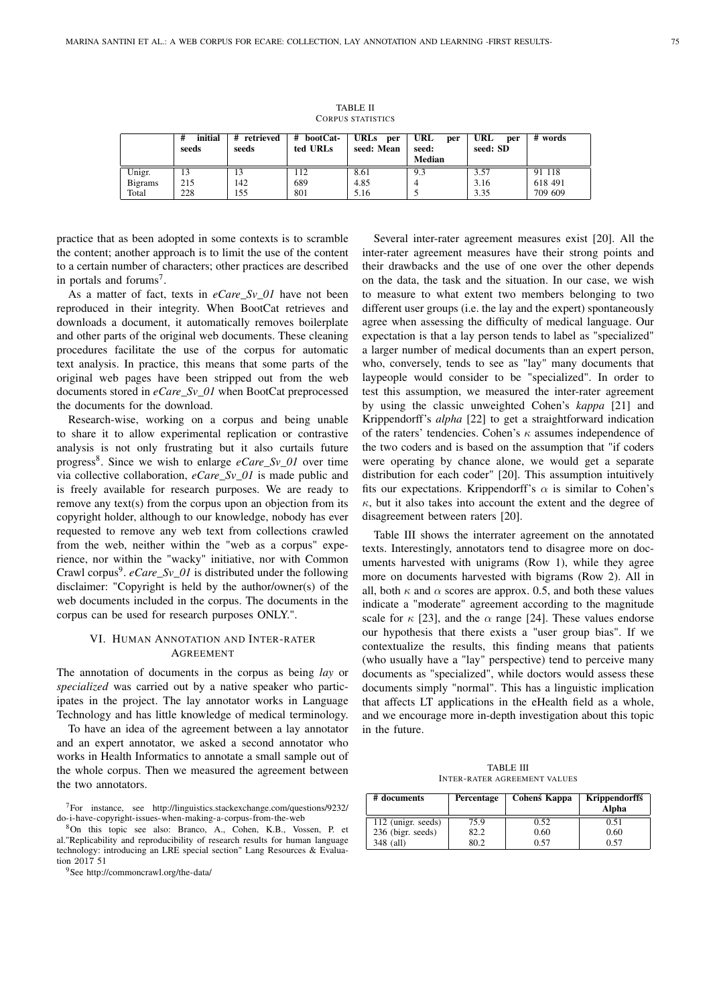| <b>TABLE II</b>   |
|-------------------|
| CORPUS STATISTICS |

|                | initial<br>#<br>seeds | # retrieved<br>seeds | #<br>bootCat-<br>ted URLs | <b>URLs</b><br>per<br>seed: Mean | <b>URL</b><br>per<br>seed:<br><b>Median</b> | URL<br>per<br>seed: SD | # words |
|----------------|-----------------------|----------------------|---------------------------|----------------------------------|---------------------------------------------|------------------------|---------|
| Unigr.         |                       | 13                   | 112                       | 8.61                             | 9.3                                         | 3.57                   | 91 118  |
| <b>Bigrams</b> | 215                   | 142                  | 689                       | 4.85                             |                                             | 3.16                   | 618 491 |
| Total          | 228                   | 155                  | 801                       | 5.16                             |                                             | 3.35                   | 709 609 |

practice that as been adopted in some contexts is to scramble the content; another approach is to limit the use of the content to a certain number of characters; other practices are described in portals and forums<sup>7</sup>.

As a matter of fact, texts in *eCare\_Sv\_01* have not been reproduced in their integrity. When BootCat retrieves and downloads a document, it automatically removes boilerplate and other parts of the original web documents. These cleaning procedures facilitate the use of the corpus for automatic text analysis. In practice, this means that some parts of the original web pages have been stripped out from the web documents stored in *eCare\_Sv\_01* when BootCat preprocessed the documents for the download.

Research-wise, working on a corpus and being unable to share it to allow experimental replication or contrastive analysis is not only frustrating but it also curtails future progress<sup>8</sup>. Since we wish to enlarge *eCare\_Sv\_01* over time via collective collaboration, *eCare\_Sv\_01* is made public and is freely available for research purposes. We are ready to remove any text(s) from the corpus upon an objection from its copyright holder, although to our knowledge, nobody has ever requested to remove any web text from collections crawled from the web, neither within the "web as a corpus" experience, nor within the "wacky" initiative, nor with Common Crawl corpus<sup>9</sup>.  $eCare\_Sv_01$  is distributed under the following disclaimer: "Copyright is held by the author/owner(s) of the web documents included in the corpus. The documents in the corpus can be used for research purposes ONLY.".

### VI. HUMAN ANNOTATION AND INTER-RATER AGREEMENT

The annotation of documents in the corpus as being *lay* or *specialized* was carried out by a native speaker who participates in the project. The lay annotator works in Language Technology and has little knowledge of medical terminology.

To have an idea of the agreement between a lay annotator and an expert annotator, we asked a second annotator who works in Health Informatics to annotate a small sample out of the whole corpus. Then we measured the agreement between the two annotators.

<sup>8</sup>On this topic see also: Branco, A., Cohen, K.B., Vossen, P. et al."Replicability and reproducibility of research results for human language technology: introducing an LRE special section" Lang Resources & Evaluation 2017 51

<sup>9</sup>See http://commoncrawl.org/the-data/

Several inter-rater agreement measures exist [20]. All the inter-rater agreement measures have their strong points and their drawbacks and the use of one over the other depends on the data, the task and the situation. In our case, we wish to measure to what extent two members belonging to two different user groups (i.e. the lay and the expert) spontaneously agree when assessing the difficulty of medical language. Our expectation is that a lay person tends to label as "specialized" a larger number of medical documents than an expert person, who, conversely, tends to see as "lay" many documents that laypeople would consider to be "specialized". In order to test this assumption, we measured the inter-rater agreement by using the classic unweighted Cohen's *kappa* [21] and Krippendorff's *alpha* [22] to get a straightforward indication of the raters' tendencies. Cohen's  $\kappa$  assumes independence of the two coders and is based on the assumption that "if coders were operating by chance alone, we would get a separate distribution for each coder" [20]. This assumption intuitively fits our expectations. Krippendorff's  $\alpha$  is similar to Cohen's  $\kappa$ , but it also takes into account the extent and the degree of disagreement between raters [20].

Table III shows the interrater agreement on the annotated texts. Interestingly, annotators tend to disagree more on documents harvested with unigrams (Row 1), while they agree more on documents harvested with bigrams (Row 2). All in all, both  $\kappa$  and  $\alpha$  scores are approx. 0.5, and both these values indicate a "moderate" agreement according to the magnitude scale for  $\kappa$  [23], and the  $\alpha$  range [24]. These values endorse our hypothesis that there exists a "user group bias". If we contextualize the results, this finding means that patients (who usually have a "lay" perspective) tend to perceive many documents as "specialized", while doctors would assess these documents simply "normal". This has a linguistic implication that affects LT applications in the eHealth field as a whole, and we encourage more in-depth investigation about this topic in the future.

TABLE III INTER-RATER AGREEMENT VALUES

| # documents        | Percentage | Cohens Kappa | <b>Krippendorffs</b><br>Alpha |
|--------------------|------------|--------------|-------------------------------|
| 112 (unigr. seeds) | 75.9       | 0.52         | 0.51                          |
| 236 (bigr. seeds)  | 82.2       | 0.60         | 0.60                          |
| 348 (all)          | 80.2       | 0.57         | 0.57                          |

<sup>7</sup>For instance, see http://linguistics.stackexchange.com/questions/9232/ do-i-have-copyright-issues-when-making-a-corpus-from-the-web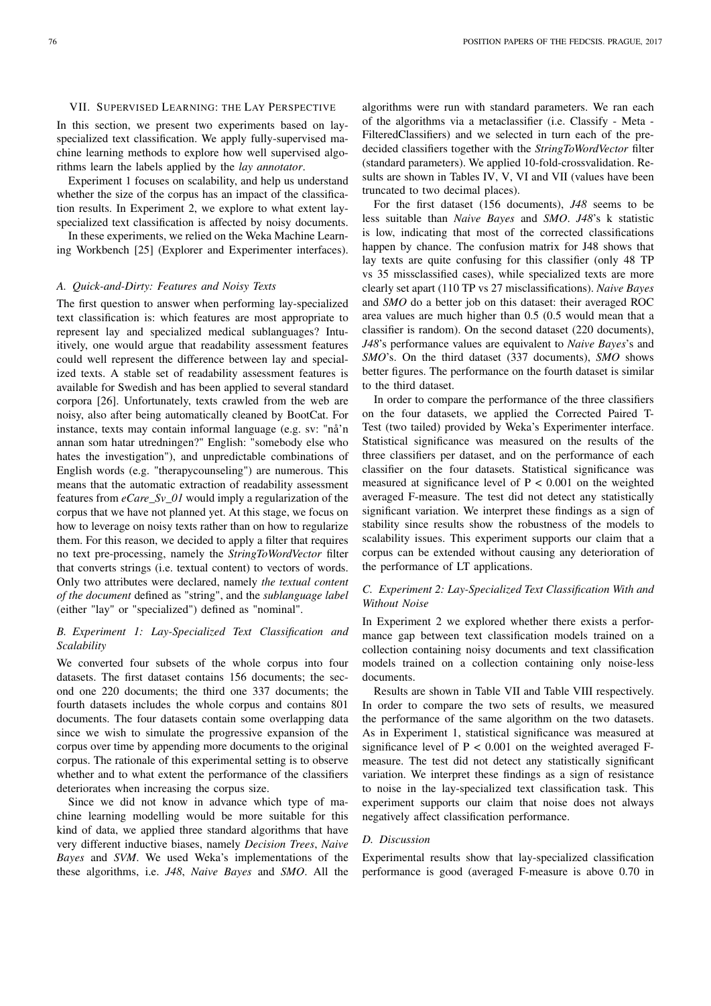#### VII. SUPERVISED LEARNING: THE LAY PERSPECTIVE

In this section, we present two experiments based on layspecialized text classification. We apply fully-supervised machine learning methods to explore how well supervised algorithms learn the labels applied by the *lay annotator*.

Experiment 1 focuses on scalability, and help us understand whether the size of the corpus has an impact of the classification results. In Experiment 2, we explore to what extent layspecialized text classification is affected by noisy documents.

In these experiments, we relied on the Weka Machine Learning Workbench [25] (Explorer and Experimenter interfaces).

### *A. Quick-and-Dirty: Features and Noisy Texts*

The first question to answer when performing lay-specialized text classification is: which features are most appropriate to represent lay and specialized medical sublanguages? Intuitively, one would argue that readability assessment features could well represent the difference between lay and specialized texts. A stable set of readability assessment features is available for Swedish and has been applied to several standard corpora [26]. Unfortunately, texts crawled from the web are noisy, also after being automatically cleaned by BootCat. For instance, texts may contain informal language (e.g. sv: "nå'n annan som hatar utredningen?" English: "somebody else who hates the investigation"), and unpredictable combinations of English words (e.g. "therapycounseling") are numerous. This means that the automatic extraction of readability assessment features from *eCare\_Sv\_01* would imply a regularization of the corpus that we have not planned yet. At this stage, we focus on how to leverage on noisy texts rather than on how to regularize them. For this reason, we decided to apply a filter that requires no text pre-processing, namely the *StringToWordVector* filter that converts strings (i.e. textual content) to vectors of words. Only two attributes were declared, namely *the textual content of the document* defined as "string", and the *sublanguage label* (either "lay" or "specialized") defined as "nominal".

# *B. Experiment 1: Lay-Specialized Text Classification and Scalability*

We converted four subsets of the whole corpus into four datasets. The first dataset contains 156 documents; the second one 220 documents; the third one 337 documents; the fourth datasets includes the whole corpus and contains 801 documents. The four datasets contain some overlapping data since we wish to simulate the progressive expansion of the corpus over time by appending more documents to the original corpus. The rationale of this experimental setting is to observe whether and to what extent the performance of the classifiers deteriorates when increasing the corpus size.

Since we did not know in advance which type of machine learning modelling would be more suitable for this kind of data, we applied three standard algorithms that have very different inductive biases, namely *Decision Trees*, *Naive Bayes* and *SVM*. We used Weka's implementations of the these algorithms, i.e. *J48*, *Naive Bayes* and *SMO*. All the

algorithms were run with standard parameters. We ran each of the algorithms via a metaclassifier (i.e. Classify - Meta - FilteredClassifiers) and we selected in turn each of the predecided classifiers together with the *StringToWordVector* filter (standard parameters). We applied 10-fold-crossvalidation. Results are shown in Tables IV, V, VI and VII (values have been truncated to two decimal places).

For the first dataset (156 documents), *J48* seems to be less suitable than *Naive Bayes* and *SMO*. *J48*'s k statistic is low, indicating that most of the corrected classifications happen by chance. The confusion matrix for J48 shows that lay texts are quite confusing for this classifier (only 48 TP vs 35 missclassified cases), while specialized texts are more clearly set apart (110 TP vs 27 misclassifications). *Naive Bayes* and *SMO* do a better job on this dataset: their averaged ROC area values are much higher than 0.5 (0.5 would mean that a classifier is random). On the second dataset (220 documents), *J48*'s performance values are equivalent to *Naive Bayes*'s and *SMO*'s. On the third dataset (337 documents), *SMO* shows better figures. The performance on the fourth dataset is similar to the third dataset.

In order to compare the performance of the three classifiers on the four datasets, we applied the Corrected Paired T-Test (two tailed) provided by Weka's Experimenter interface. Statistical significance was measured on the results of the three classifiers per dataset, and on the performance of each classifier on the four datasets. Statistical significance was measured at significance level of  $P < 0.001$  on the weighted averaged F-measure. The test did not detect any statistically significant variation. We interpret these findings as a sign of stability since results show the robustness of the models to scalability issues. This experiment supports our claim that a corpus can be extended without causing any deterioration of the performance of LT applications.

# *C. Experiment 2: Lay-Specialized Text Classification With and Without Noise*

In Experiment 2 we explored whether there exists a performance gap between text classification models trained on a collection containing noisy documents and text classification models trained on a collection containing only noise-less documents.

Results are shown in Table VII and Table VIII respectively. In order to compare the two sets of results, we measured the performance of the same algorithm on the two datasets. As in Experiment 1, statistical significance was measured at significance level of  $P < 0.001$  on the weighted averaged Fmeasure. The test did not detect any statistically significant variation. We interpret these findings as a sign of resistance to noise in the lay-specialized text classification task. This experiment supports our claim that noise does not always negatively affect classification performance.

#### *D. Discussion*

Experimental results show that lay-specialized classification performance is good (averaged F-measure is above 0.70 in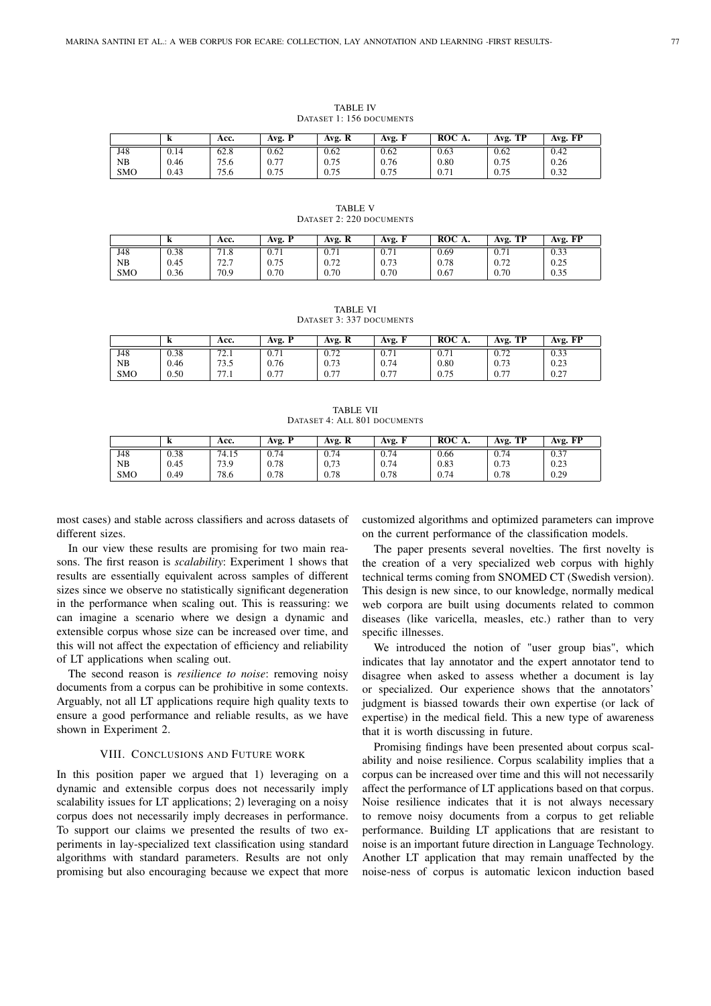|            | n    | Acc. | Avg. P | Avg. R | Avg. F | ROC A. | TD<br>Avg. TP | Avg. FP |
|------------|------|------|--------|--------|--------|--------|---------------|---------|
| J48        | 0.14 | 62.8 | 0.62   | 0.62   | 0.62   | 0.63   | 0.62          | 0.42    |
| NB         | 0.46 | 75.6 | 0.77   | 0.75   | 0.76   | 0.80   | 0.75          | 0.26    |
| <b>SMO</b> | 0.43 | 75.6 | 0.75   | 0.75   | 0.75   | 0.71   | 0.75          | 0.32    |

TABLE IV DATASET 1: 156 DOCUMENTS

TABLE V DATASET 2: 220 DOCUMENTS

|            | n    | Acc.               | Ð<br>Avg. P | Avg. R | $\mathbf{r}$<br>Avg. F | ROC A. | TD<br>Avg.<br>$\mathbf{H}$ | Avg. FP |
|------------|------|--------------------|-------------|--------|------------------------|--------|----------------------------|---------|
| J48        | 0.38 | 71.8               | 0.71        | 0.71   | 0.71                   | 0.69   | 0.71                       | 0.33    |
| NB         | 0.45 | 70.7<br>$1 \leq 1$ | 0.75        | 0.72   | 0.73                   | 0.78   | 0.72                       | 0.25    |
| <b>SMO</b> | 0.36 | 70.9               | 0.70        | 0.70   | 0.70                   | 0.67   | 0.70                       | 0.35    |

TABLE VI DATASET 3: 337 DOCUMENTS

|            | n    | Acc.                               | D<br>Avg. F  | Avg. R | Avg. F | ROC A. | TP<br>Avg. | Avg. FP |
|------------|------|------------------------------------|--------------|--------|--------|--------|------------|---------|
| J48        | 0.38 | $\overline{\phantom{a}}$<br>ہ کے ا | 0.71<br>0.71 | 0.72   | 0.71   | 0.71   | 0.72       | 0.33    |
| <b>NB</b>  | 0.46 | 735<br>ر. ر ۱                      | 0.76         | 0.73   | 0.74   | 0.80   | 0.73       | 0.23    |
| <b>SMO</b> | 0.50 | --<br>7.1                          | 0.77         | 0.77   | 0.77   | 0.75   | 0.77       | 0.27    |

TABLE VII DATASET 4: ALL 801 DOCUMENTS

|            | r    | Acc.  | D<br>Avg. 1 | Avg. R | Avg. F | ROC A. | ТP<br>Avg. | Avg. FP |
|------------|------|-------|-------------|--------|--------|--------|------------|---------|
| J48        | 0.38 | 74.15 | 0.74        | 0.74   | 0.74   | 0.66   | 0.74       | 0.37    |
| NB         | 0.45 | 73.9  | 0.78        | 0.73   | 0.74   | 0.83   | 0.73       | 0.23    |
| <b>SMO</b> | 0.49 | 78.6  | 0.78        | 0.78   | 0.78   | 0.74   | 0.78       | 0.29    |

most cases) and stable across classifiers and across datasets of different sizes.

In our view these results are promising for two main reasons. The first reason is *scalability*: Experiment 1 shows that results are essentially equivalent across samples of different sizes since we observe no statistically significant degeneration in the performance when scaling out. This is reassuring: we can imagine a scenario where we design a dynamic and extensible corpus whose size can be increased over time, and this will not affect the expectation of efficiency and reliability of LT applications when scaling out.

The second reason is *resilience to noise*: removing noisy documents from a corpus can be prohibitive in some contexts. Arguably, not all LT applications require high quality texts to ensure a good performance and reliable results, as we have shown in Experiment 2.

#### VIII. CONCLUSIONS AND FUTURE WORK

In this position paper we argued that 1) leveraging on a dynamic and extensible corpus does not necessarily imply scalability issues for LT applications; 2) leveraging on a noisy corpus does not necessarily imply decreases in performance. To support our claims we presented the results of two experiments in lay-specialized text classification using standard algorithms with standard parameters. Results are not only promising but also encouraging because we expect that more

customized algorithms and optimized parameters can improve on the current performance of the classification models.

The paper presents several novelties. The first novelty is the creation of a very specialized web corpus with highly technical terms coming from SNOMED CT (Swedish version). This design is new since, to our knowledge, normally medical web corpora are built using documents related to common diseases (like varicella, measles, etc.) rather than to very specific illnesses.

We introduced the notion of "user group bias", which indicates that lay annotator and the expert annotator tend to disagree when asked to assess whether a document is lay or specialized. Our experience shows that the annotators' judgment is biassed towards their own expertise (or lack of expertise) in the medical field. This a new type of awareness that it is worth discussing in future.

Promising findings have been presented about corpus scalability and noise resilience. Corpus scalability implies that a corpus can be increased over time and this will not necessarily affect the performance of LT applications based on that corpus. Noise resilience indicates that it is not always necessary to remove noisy documents from a corpus to get reliable performance. Building LT applications that are resistant to noise is an important future direction in Language Technology. Another LT application that may remain unaffected by the noise-ness of corpus is automatic lexicon induction based